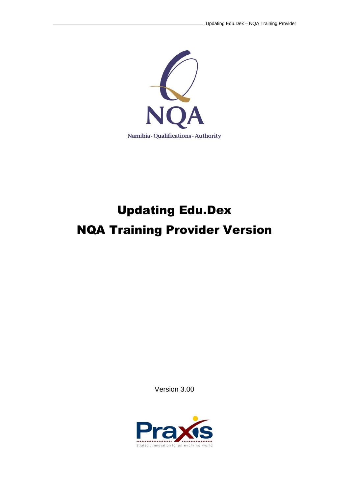

# Updating Edu.Dex NQA Training Provider Version

Version 3.00

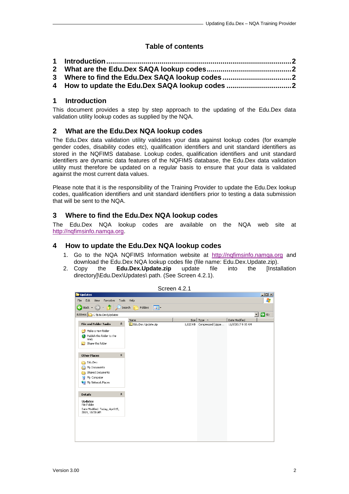## **Table of contents**

| 3 Where to find the Edu.Dex SAQA lookup codes2 |  |
|------------------------------------------------|--|
| 4 How to update the Edu.Dex SAQA lookup codes  |  |

#### <span id="page-1-0"></span>**1 Introduction**

This document provides a step by step approach to the updating of the Edu.Dex data validation utility lookup codes as supplied by the NQA.

#### <span id="page-1-1"></span>**2 What are the Edu.Dex NQA lookup codes**

The Edu.Dex data validation utility validates your data against lookup codes (for example gender codes, disability codes etc), qualification identifiers and unit standard identifiers as stored in the NQFIMS database. Lookup codes, qualification identifiers and unit standard identifiers are dynamic data features of the NQFIMS database, the Edu.Dex data validation utility must therefore be updated on a regular basis to ensure that your data is validated against the most current data values.

Please note that it is the responsibility of the Training Provider to update the Edu.Dex lookup codes, qualification identifiers and unit standard identifiers prior to testing a data submission that will be sent to the NQA.

#### <span id="page-1-2"></span>**3 Where to find the Edu.Dex NQA lookup codes**

The Edu.Dex NQA lookup codes are available on the NQA web site at [http://nqfimsinfo.namqa.org.](http://nqfimsinfo.namqa.org/)

### <span id="page-1-3"></span>**4 How to update the Edu.Dex NQA lookup codes**

- 1. Go to the NQA NQFIMS Information website at [http://nqfimsinfo.namqa.org](http://nqfimsinfo.namqa.org/) and download the Edu.Dex NQA lookup codes file (file name: Edu.Dex.Update.zip).
- 2. Copy the **Edu.Dex.Update.zip** update file into the [Installation directory]\Edu.Dex\Updates\ path. (See Screen 4.2.1).



Screen 4.2.1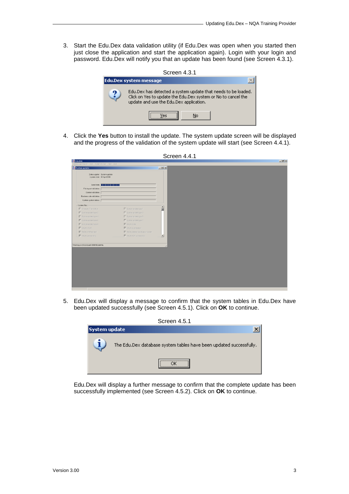3. Start the Edu.Dex data validation utility (if Edu.Dex was open when you started then just close the application and start the application again). Login with your login and password. Edu.Dex will notify you that an update has been found (see Screen 4.3.1).



4. Click the **Yes** button to install the update. The system update screen will be displayed and the progress of the validation of the system update will start (see Screen 4.4.1).

| Validate submission View Administration Help Exit |                                    |                          |  |  |
|---------------------------------------------------|------------------------------------|--------------------------|--|--|
| System update                                     |                                    | $   x$ $-$               |  |  |
| Data supplier: System update                      |                                    |                          |  |  |
| Updote date: 04 April 2008                        |                                    |                          |  |  |
| Load data: <b>NNNNNNNNNNNN</b>                    |                                    |                          |  |  |
| File layout validation: [                         |                                    |                          |  |  |
| Content validation:                               |                                    |                          |  |  |
| Business rule validation: [                       |                                    |                          |  |  |
| Update system tables:                             |                                    |                          |  |  |
| -Update files:-                                   |                                    |                          |  |  |
| Character Translation                             | System update type 1               | â                        |  |  |
| System update type 2                              | System update type 3               |                          |  |  |
| System update type 4                              | $\Box$ System update type 5        |                          |  |  |
| System update type 6                              | E System update type 7             |                          |  |  |
| System update type 8                              | <b>▼</b> SAGA Code                 |                          |  |  |
| <b>F</b> SAGAETOA                                 | ■ SAGA Quelification               |                          |  |  |
| <b>V</b> SAGA UniStandard                         | E SAQA deleted duplicate provider. |                          |  |  |
| E SAGALeproprohip                                 | E SAGANGE Learnership              | $\overline{\phantom{0}}$ |  |  |
|                                                   |                                    |                          |  |  |
| Working on SAQAQualV2080402.dat file.             |                                    |                          |  |  |
|                                                   |                                    |                          |  |  |
|                                                   |                                    |                          |  |  |
|                                                   |                                    |                          |  |  |
|                                                   |                                    |                          |  |  |
|                                                   |                                    |                          |  |  |
|                                                   |                                    |                          |  |  |
|                                                   |                                    |                          |  |  |
|                                                   |                                    |                          |  |  |
|                                                   |                                    |                          |  |  |

5. Edu.Dex will display a message to confirm that the system tables in Edu.Dex have been updated successfully (see Screen 4.5.1). Click on **OK** to continue.



Edu.Dex will display a further message to confirm that the complete update has been successfully implemented (see Screen 4.5.2). Click on **OK** to continue.

Screen 4.4.1